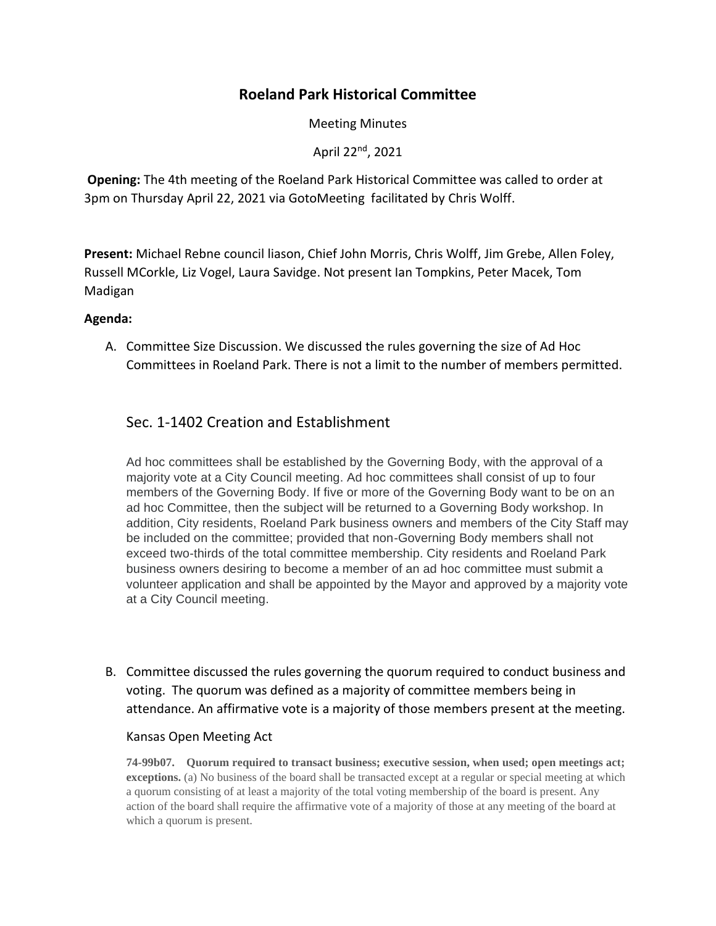# **Roeland Park Historical Committee**

Meeting Minutes

April 22nd, 2021

**Opening:** The 4th meeting of the Roeland Park Historical Committee was called to order at 3pm on Thursday April 22, 2021 via GotoMeeting facilitated by Chris Wolff.

**Present:** Michael Rebne council liason, Chief John Morris, Chris Wolff, Jim Grebe, Allen Foley, Russell MCorkle, Liz Vogel, Laura Savidge. Not present Ian Tompkins, Peter Macek, Tom Madigan

## **Agenda:**

A. Committee Size Discussion. We discussed the rules governing the size of Ad Hoc Committees in Roeland Park. There is not a limit to the number of members permitted.

# Sec. 1-1402 Creation and Establishment

Ad hoc committees shall be established by the Governing Body, with the approval of a majority vote at a City Council meeting. Ad hoc committees shall consist of up to four members of the Governing Body. If five or more of the Governing Body want to be on an ad hoc Committee, then the subject will be returned to a Governing Body workshop. In addition, City residents, Roeland Park business owners and members of the City Staff may be included on the committee; provided that non-Governing Body members shall not exceed two-thirds of the total committee membership. City residents and Roeland Park business owners desiring to become a member of an ad hoc committee must submit a volunteer application and shall be appointed by the Mayor and approved by a majority vote at a City Council meeting.

B. Committee discussed the rules governing the quorum required to conduct business and voting. The quorum was defined as a majority of committee members being in attendance. An affirmative vote is a majority of those members present at the meeting.

### Kansas Open Meeting Act

**74-99b07. Quorum required to transact business; executive session, when used; open meetings act; exceptions.** (a) No business of the board shall be transacted except at a regular or special meeting at which a quorum consisting of at least a majority of the total voting membership of the board is present. Any action of the board shall require the affirmative vote of a majority of those at any meeting of the board at which a quorum is present.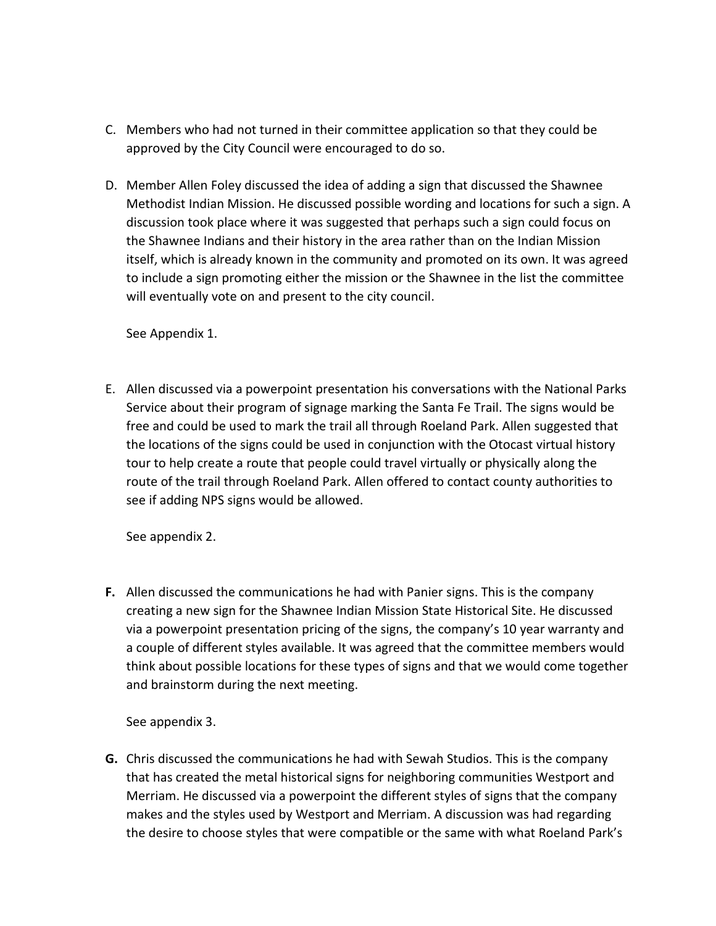- C. Members who had not turned in their committee application so that they could be approved by the City Council were encouraged to do so.
- D. Member Allen Foley discussed the idea of adding a sign that discussed the Shawnee Methodist Indian Mission. He discussed possible wording and locations for such a sign. A discussion took place where it was suggested that perhaps such a sign could focus on the Shawnee Indians and their history in the area rather than on the Indian Mission itself, which is already known in the community and promoted on its own. It was agreed to include a sign promoting either the mission or the Shawnee in the list the committee will eventually vote on and present to the city council.

See Appendix 1.

E. Allen discussed via a powerpoint presentation his conversations with the National Parks Service about their program of signage marking the Santa Fe Trail. The signs would be free and could be used to mark the trail all through Roeland Park. Allen suggested that the locations of the signs could be used in conjunction with the Otocast virtual history tour to help create a route that people could travel virtually or physically along the route of the trail through Roeland Park. Allen offered to contact county authorities to see if adding NPS signs would be allowed.

See appendix 2.

**F.** Allen discussed the communications he had with Panier signs. This is the company creating a new sign for the Shawnee Indian Mission State Historical Site. He discussed via a powerpoint presentation pricing of the signs, the company's 10 year warranty and a couple of different styles available. It was agreed that the committee members would think about possible locations for these types of signs and that we would come together and brainstorm during the next meeting.

See appendix 3.

**G.** Chris discussed the communications he had with Sewah Studios. This is the company that has created the metal historical signs for neighboring communities Westport and Merriam. He discussed via a powerpoint the different styles of signs that the company makes and the styles used by Westport and Merriam. A discussion was had regarding the desire to choose styles that were compatible or the same with what Roeland Park's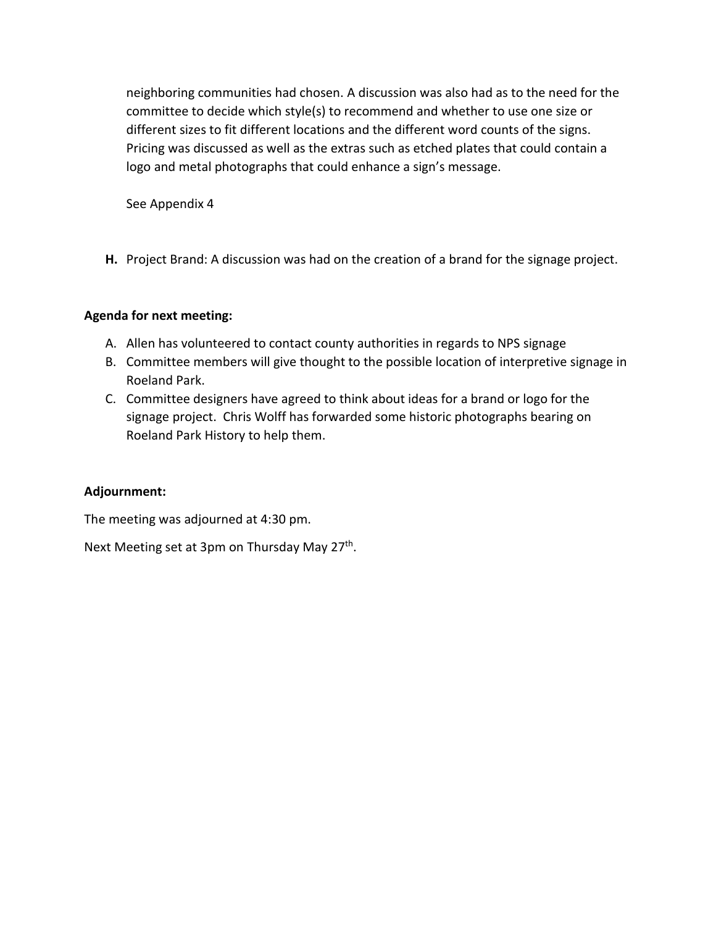neighboring communities had chosen. A discussion was also had as to the need for the committee to decide which style(s) to recommend and whether to use one size or different sizes to fit different locations and the different word counts of the signs. Pricing was discussed as well as the extras such as etched plates that could contain a logo and metal photographs that could enhance a sign's message.

See Appendix 4

**H.** Project Brand: A discussion was had on the creation of a brand for the signage project.

## **Agenda for next meeting:**

- A. Allen has volunteered to contact county authorities in regards to NPS signage
- B. Committee members will give thought to the possible location of interpretive signage in Roeland Park.
- C. Committee designers have agreed to think about ideas for a brand or logo for the signage project. Chris Wolff has forwarded some historic photographs bearing on Roeland Park History to help them.

## **Adjournment:**

The meeting was adjourned at 4:30 pm.

Next Meeting set at 3pm on Thursday May 27<sup>th</sup>.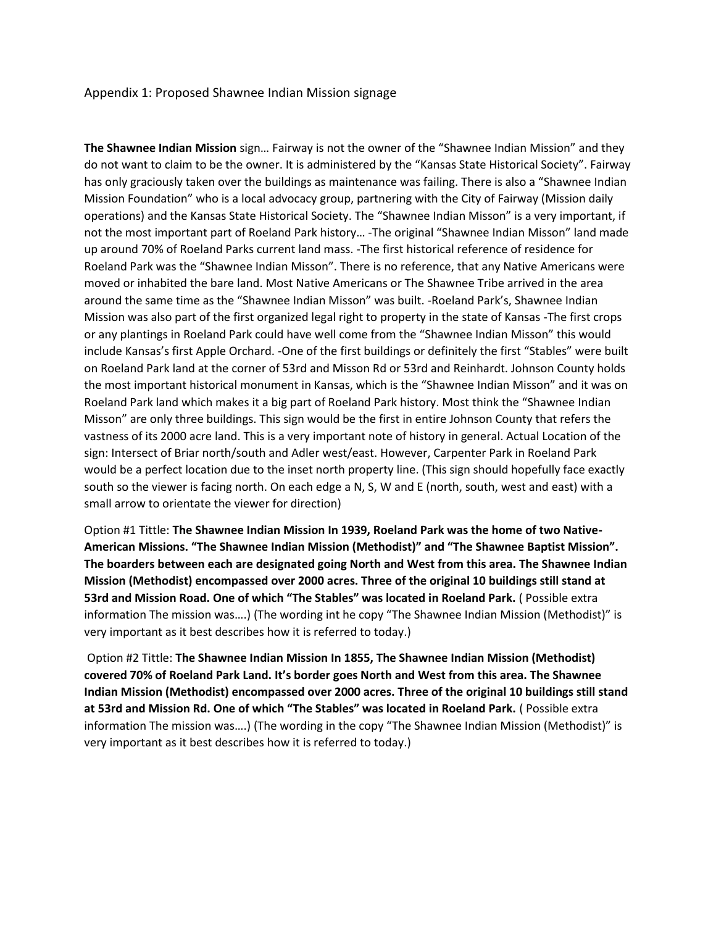Appendix 1: Proposed Shawnee Indian Mission signage

**The Shawnee Indian Mission** sign… Fairway is not the owner of the "Shawnee Indian Mission" and they do not want to claim to be the owner. It is administered by the "Kansas State Historical Society". Fairway has only graciously taken over the buildings as maintenance was failing. There is also a "Shawnee Indian Mission Foundation" who is a local advocacy group, partnering with the City of Fairway (Mission daily operations) and the Kansas State Historical Society. The "Shawnee Indian Misson" is a very important, if not the most important part of Roeland Park history… -The original "Shawnee Indian Misson" land made up around 70% of Roeland Parks current land mass. -The first historical reference of residence for Roeland Park was the "Shawnee Indian Misson". There is no reference, that any Native Americans were moved or inhabited the bare land. Most Native Americans or The Shawnee Tribe arrived in the area around the same time as the "Shawnee Indian Misson" was built. -Roeland Park's, Shawnee Indian Mission was also part of the first organized legal right to property in the state of Kansas -The first crops or any plantings in Roeland Park could have well come from the "Shawnee Indian Misson" this would include Kansas's first Apple Orchard. -One of the first buildings or definitely the first "Stables" were built on Roeland Park land at the corner of 53rd and Misson Rd or 53rd and Reinhardt. Johnson County holds the most important historical monument in Kansas, which is the "Shawnee Indian Misson" and it was on Roeland Park land which makes it a big part of Roeland Park history. Most think the "Shawnee Indian Misson" are only three buildings. This sign would be the first in entire Johnson County that refers the vastness of its 2000 acre land. This is a very important note of history in general. Actual Location of the sign: Intersect of Briar north/south and Adler west/east. However, Carpenter Park in Roeland Park would be a perfect location due to the inset north property line. (This sign should hopefully face exactly south so the viewer is facing north. On each edge a N, S, W and E (north, south, west and east) with a small arrow to orientate the viewer for direction)

Option #1 Tittle: **The Shawnee Indian Mission In 1939, Roeland Park was the home of two Native-American Missions. "The Shawnee Indian Mission (Methodist)" and "The Shawnee Baptist Mission". The boarders between each are designated going North and West from this area. The Shawnee Indian Mission (Methodist) encompassed over 2000 acres. Three of the original 10 buildings still stand at 53rd and Mission Road. One of which "The Stables" was located in Roeland Park.** ( Possible extra information The mission was….) (The wording int he copy "The Shawnee Indian Mission (Methodist)" is very important as it best describes how it is referred to today.)

Option #2 Tittle: **The Shawnee Indian Mission In 1855, The Shawnee Indian Mission (Methodist) covered 70% of Roeland Park Land. It's border goes North and West from this area. The Shawnee Indian Mission (Methodist) encompassed over 2000 acres. Three of the original 10 buildings still stand at 53rd and Mission Rd. One of which "The Stables" was located in Roeland Park.** ( Possible extra information The mission was….) (The wording in the copy "The Shawnee Indian Mission (Methodist)" is very important as it best describes how it is referred to today.)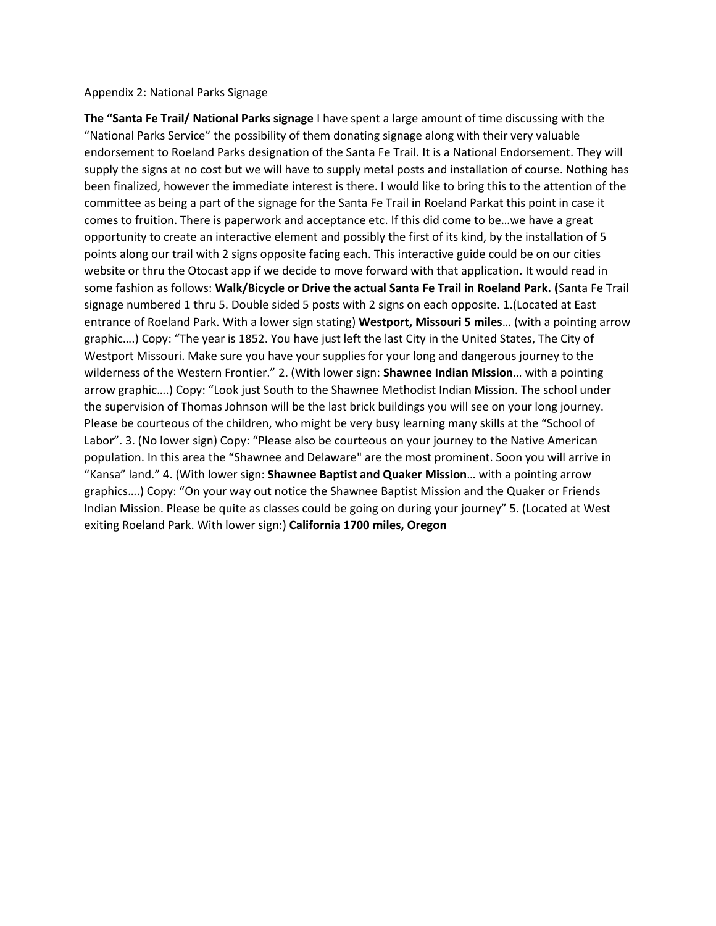### Appendix 2: National Parks Signage

**The "Santa Fe Trail/ National Parks signage** I have spent a large amount of time discussing with the "National Parks Service" the possibility of them donating signage along with their very valuable endorsement to Roeland Parks designation of the Santa Fe Trail. It is a National Endorsement. They will supply the signs at no cost but we will have to supply metal posts and installation of course. Nothing has been finalized, however the immediate interest is there. I would like to bring this to the attention of the committee as being a part of the signage for the Santa Fe Trail in Roeland Parkat this point in case it comes to fruition. There is paperwork and acceptance etc. If this did come to be…we have a great opportunity to create an interactive element and possibly the first of its kind, by the installation of 5 points along our trail with 2 signs opposite facing each. This interactive guide could be on our cities website or thru the Otocast app if we decide to move forward with that application. It would read in some fashion as follows: **Walk/Bicycle or Drive the actual Santa Fe Trail in Roeland Park. (**Santa Fe Trail signage numbered 1 thru 5. Double sided 5 posts with 2 signs on each opposite. 1.(Located at East entrance of Roeland Park. With a lower sign stating) **Westport, Missouri 5 miles**… (with a pointing arrow graphic….) Copy: "The year is 1852. You have just left the last City in the United States, The City of Westport Missouri. Make sure you have your supplies for your long and dangerous journey to the wilderness of the Western Frontier." 2. (With lower sign: **Shawnee Indian Mission**… with a pointing arrow graphic….) Copy: "Look just South to the Shawnee Methodist Indian Mission. The school under the supervision of Thomas Johnson will be the last brick buildings you will see on your long journey. Please be courteous of the children, who might be very busy learning many skills at the "School of Labor". 3. (No lower sign) Copy: "Please also be courteous on your journey to the Native American population. In this area the "Shawnee and Delaware" are the most prominent. Soon you will arrive in "Kansa" land." 4. (With lower sign: **Shawnee Baptist and Quaker Mission**… with a pointing arrow graphics….) Copy: "On your way out notice the Shawnee Baptist Mission and the Quaker or Friends Indian Mission. Please be quite as classes could be going on during your journey" 5. (Located at West exiting Roeland Park. With lower sign:) **California 1700 miles, Oregon**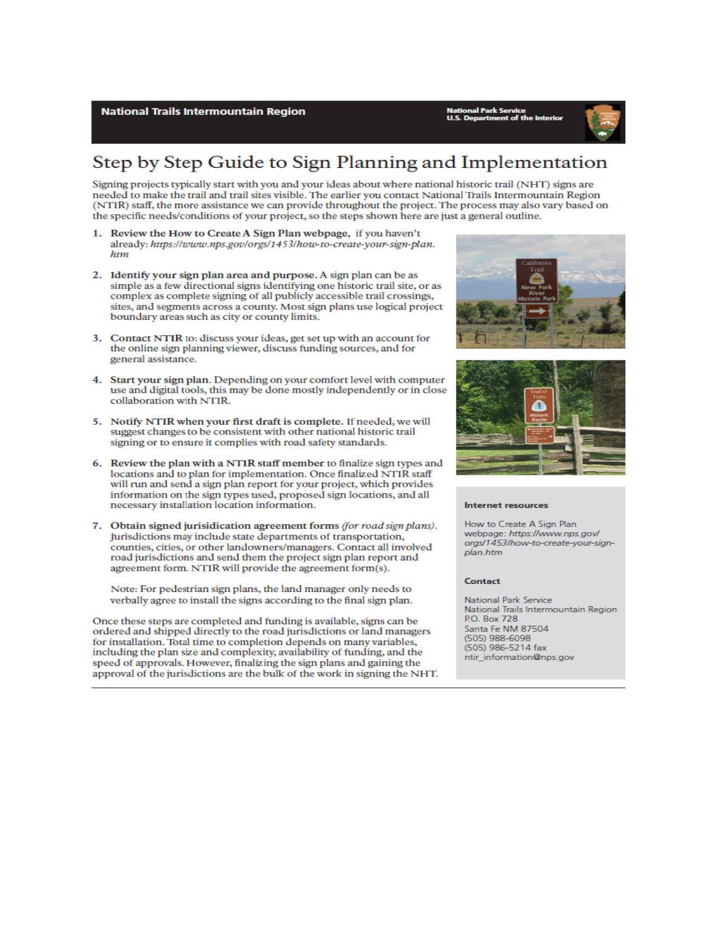**National Trails Intermountain Region** 

onal Park Service<br>Department of the Interior



# Step by Step Guide to Sign Planning and Implementation

Signing projects typically start with you and your ideas about where national historic trail (NHT) signs are needed to make the trail and trail sites visible. The earlier you contact National Trails Intermountain Region (NTIR) staff, the more assistance we can provide throughout the project. The process may also vary based on the specific needs/conditions of your project, so the steps shown here are just a general outline.

- 1. Review the How to Create A Sign Plan webpage, if you haven't already: https://www.nps.gov/orgs/1453/how-to-create-your-sign-plan. htm
- 2. Identify your sign plan area and purpose. A sign plan can be as simple as a few directional signs identifying one historic trail site, or as complex as complete signing of all publicly accessible trail crossings, sites, and segments across a county. Most sign plans use logical project boundary areas such as city or county limits.
- 3. Contact NTIR to: discuss your ideas, get set up with an account for the online sign planning viewer, discuss funding sources, and for general assistance.
- 4. Start your sign plan. Depending on your comfort level with computer use and digital tools, this may be done mostly independently or in close collaboration with NTIR.
- 5. Notify NTIR when your first draft is complete. If needed, we will suggest changes to be consistent with other national historic trail signing or to ensure it complies with road safety standards.
- 6. Review the plan with a NTIR staff member to finalize sign types and locations and to plan for implementation. Once finalized NTIR staff will run and send a sign plan report for your project, which provides information on the sign types used, proposed sign locations, and all necessary installation location information.
- 7. Obtain signed jurisidication agreement forms (for road sign plans). Jurisdictions may include state departments of transportation, counties, cities, or other landowners/managers. Contact all involved road jurisdictions and send them the project sign plan report and agreement form. NTIR will provide the agreement form(s).

Note: For pedestrian sign plans, the land manager only needs to verbally agree to install the signs according to the final sign plan.

Once these steps are completed and funding is available, signs can be ordered and shipped directly to the road jurisdictions or land managers for installation. Total time to completion depends on many variables, including the plan size and complexity, availability of funding, and the speed of approvals. However, finalizing the sign plans and gaining the approval of the jurisdictions are the bulk of the work in signing the NHT.





#### Internet resources

How to Create A Sign Plan webpage: https://www.nps.gov/ orgs/1453/how-to-create-your-signplan.htm

### **Contact**

National Park Service National Trails Intermountain Region P.O. Box 728 Santa Fe NM 87504 (505) 988-6098 (505) 986-5214 fax ntir information@nps.gov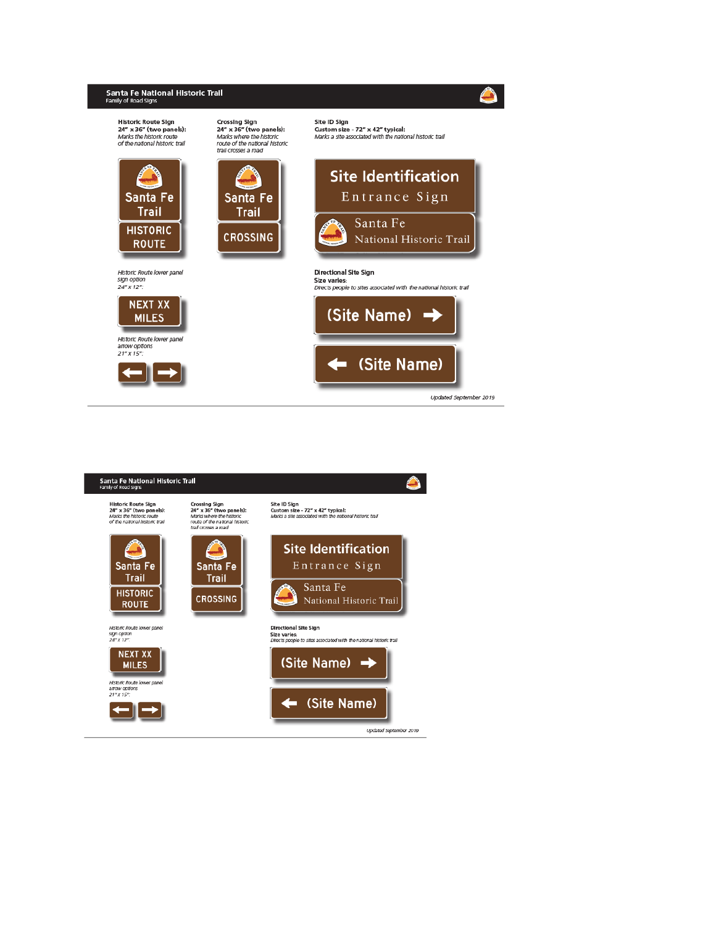

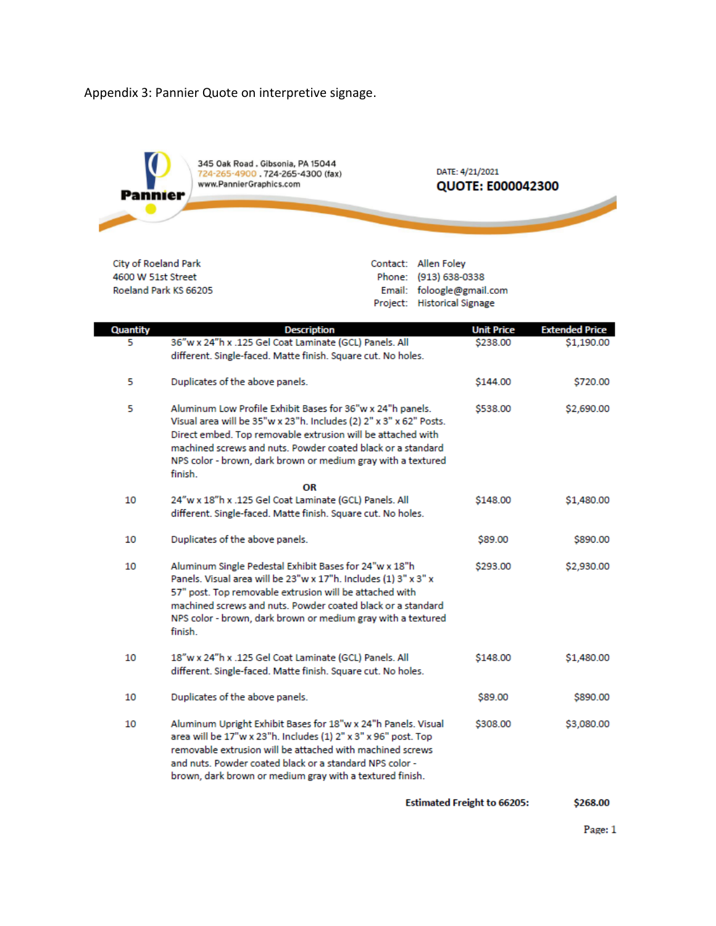Appendix 3: Pannier Quote on interpretive signage.



City of Roeland Park 4600 W 51st Street Roeland Park KS 66205 Contact: Allen Foley Phone: (913) 638-0338 Email: foloogle@gmail.com Project: Historical Signage

| Quantity | <b>Description</b>                                                                                                                                                                                                                                                                                                                        | <b>Unit Price</b> | <b>Extended Price</b> |
|----------|-------------------------------------------------------------------------------------------------------------------------------------------------------------------------------------------------------------------------------------------------------------------------------------------------------------------------------------------|-------------------|-----------------------|
| 5        | 36"w x 24"h x .125 Gel Coat Laminate (GCL) Panels. All<br>different. Single-faced. Matte finish. Square cut. No holes.                                                                                                                                                                                                                    | \$238.00          | \$1,190.00            |
| 5        | Duplicates of the above panels.                                                                                                                                                                                                                                                                                                           | \$144.00          | \$720.00              |
| 5        | Aluminum Low Profile Exhibit Bases for 36"w x 24"h panels.<br>Visual area will be 35"w x 23"h. Includes (2) 2" x 3" x 62" Posts.<br>Direct embed. Top removable extrusion will be attached with<br>machined screws and nuts. Powder coated black or a standard<br>NPS color - brown, dark brown or medium gray with a textured<br>finish. | \$538.00          | \$2,690.00            |
|          | OR                                                                                                                                                                                                                                                                                                                                        |                   |                       |
| 10       | 24"w x 18"h x .125 Gel Coat Laminate (GCL) Panels. All<br>different. Single-faced. Matte finish. Square cut. No holes.                                                                                                                                                                                                                    | \$148.00          | \$1,480.00            |
| 10       | Duplicates of the above panels.                                                                                                                                                                                                                                                                                                           | \$89.00           | \$890.00              |
| 10       | Aluminum Single Pedestal Exhibit Bases for 24"w x 18"h<br>Panels. Visual area will be 23"w x 17"h. Includes (1) 3" x 3" x<br>57" post. Top removable extrusion will be attached with<br>machined screws and nuts. Powder coated black or a standard<br>NPS color - brown, dark brown or medium gray with a textured<br>finish.            | \$293.00          | \$2,930.00            |
| 10       | 18"w x 24"h x .125 Gel Coat Laminate (GCL) Panels. All<br>different. Single-faced. Matte finish. Square cut. No holes.                                                                                                                                                                                                                    | \$148.00          | \$1,480.00            |
| 10       | Duplicates of the above panels.                                                                                                                                                                                                                                                                                                           | \$89.00           | \$890.00              |
| 10       | Aluminum Upright Exhibit Bases for 18"w x 24"h Panels. Visual<br>area will be 17"w x 23"h. Includes (1) 2" x 3" x 96" post. Top<br>removable extrusion will be attached with machined screws<br>and nuts. Powder coated black or a standard NPS color -<br>brown, dark brown or medium gray with a textured finish.                       | \$308.00          | \$3,080.00            |

**Estimated Freight to 66205:** \$268.00

Page: 1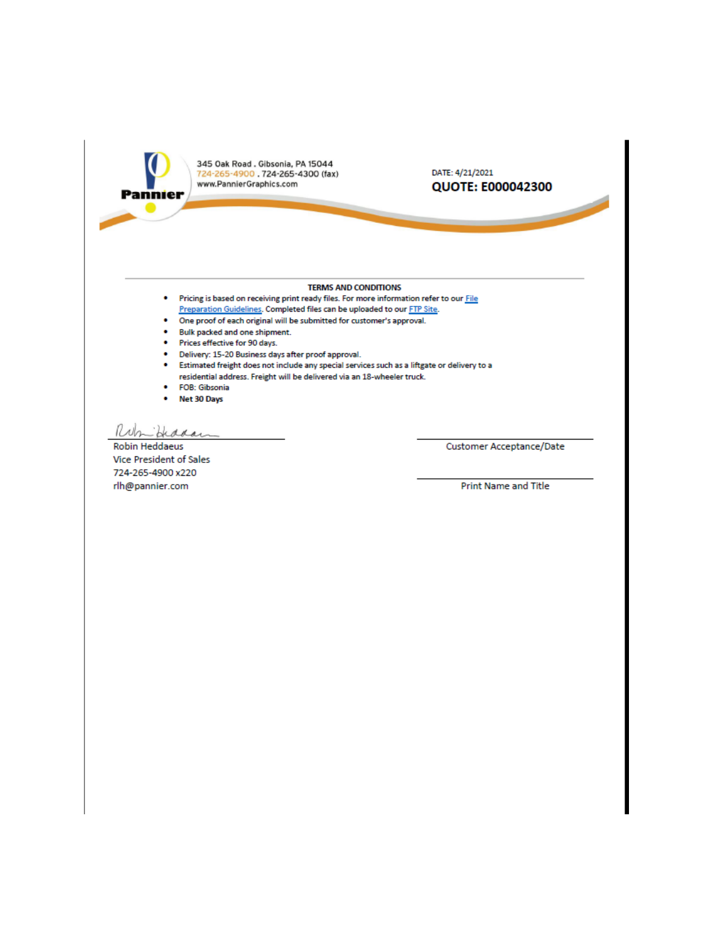

345 Oak Road . Gibsonia, PA 15044<br>724-265-4900 . 724-265-4300 (fax) www.PannierGraphics.com

### DATE: 4/21/2021 QUOTE: E000042300

### **TERMS AND CONDITIONS**

- . Pricing is based on receiving print ready files. For more information refer to our File Preparation Guidelines. Completed files can be uploaded to our FTP Site.
- One proof of each original will be submitted for customer's approval.  $\bullet$
- . Bulk packed and one shipment.
- Prices effective for 90 days.
- · Delivery: 15-20 Business days after proof approval.
- Estimated freight does not include any special services such as a liftgate or delivery to a residential address. Freight will be delivered via an 18-wheeler truck.
- **FOB: Gibsonia**
- Net 30 Days

Ruh Hiddar

**Robin Heddaeus** Vice President of Sales 724-265-4900 x220 rlh@pannier.com

Customer Acceptance/Date

**Print Name and Title**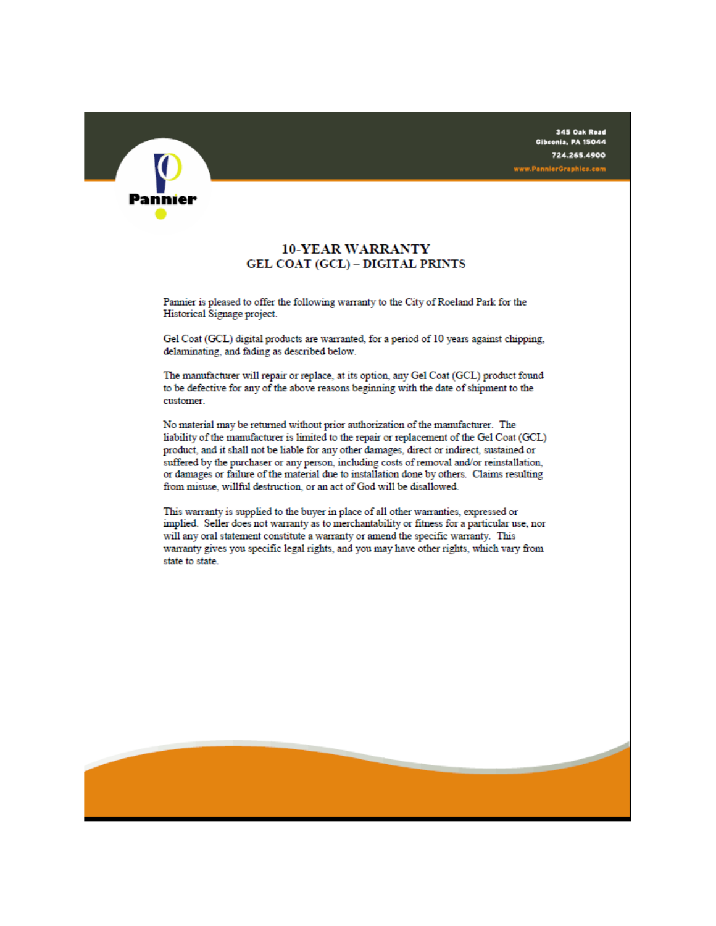

### **10-YEAR WARRANTY GEL COAT (GCL) - DIGITAL PRINTS**

Pannier is pleased to offer the following warranty to the City of Roeland Park for the Historical Signage project.

Gel Coat (GCL) digital products are warranted, for a period of 10 years against chipping, delaminating, and fading as described below.

The manufacturer will repair or replace, at its option, any Gel Coat (GCL) product found to be defective for any of the above reasons beginning with the date of shipment to the customer.

No material may be returned without prior authorization of the manufacturer. The liability of the manufacturer is limited to the repair or replacement of the Gel Coat (GCL) product, and it shall not be liable for any other damages, direct or indirect, sustained or suffered by the purchaser or any person, including costs of removal and/or reinstallation, or damages or failure of the material due to installation done by others. Claims resulting from misuse, willful destruction, or an act of God will be disallowed.

This warranty is supplied to the buyer in place of all other warranties, expressed or implied. Seller does not warranty as to merchantability or fitness for a particular use, nor will any oral statement constitute a warranty or amend the specific warranty. This warranty gives you specific legal rights, and you may have other rights, which vary from state to state.